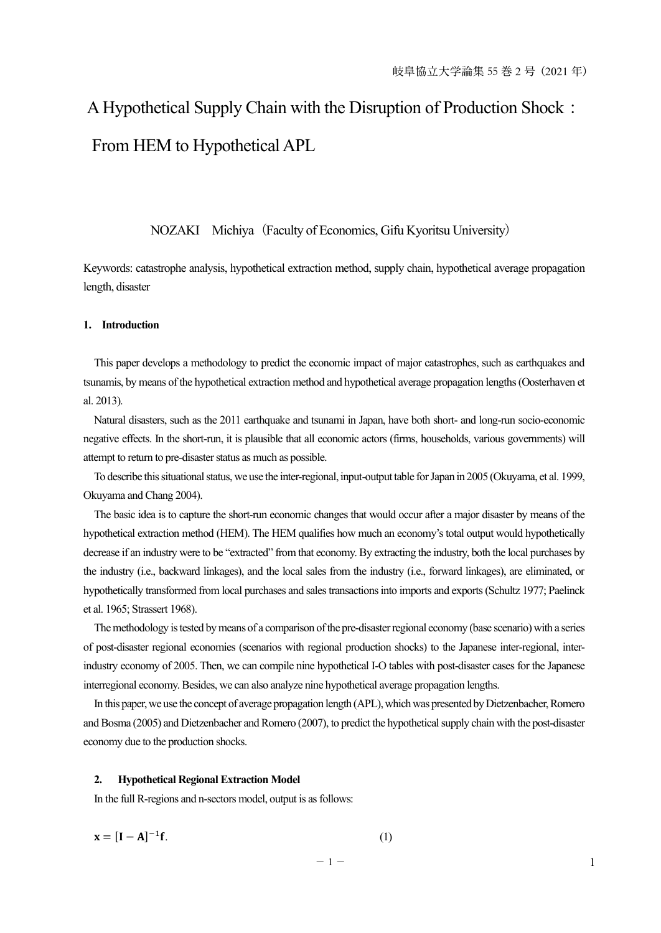# A Hypothetical Supply Chain with the Disruption of Production Shock: From HEM to Hypothetical APL

# NOZAKI Michiya (Faculty of Economics, Gifu Kyoritsu University)

Keywords: catastrophe analysis, hypothetical extraction method, supply chain, hypothetical average propagation length, disaster

## **1. Introduction**

This paper develops a methodology to predict the economic impact of major catastrophes, such as earthquakes and tsunamis, by means of the hypothetical extraction method and hypothetical average propagation lengths (Oosterhaven et al. 2013).

Natural disasters, such as the 2011 earthquake and tsunami in Japan, have both short- and long-run socio-economic negative effects. In the short-run, it is plausible that all economic actors (firms, households, various governments) will attempt to return to pre-disaster status as much as possible.

To describe this situational status, we use the inter-regional, input-output table for Japan in 2005 (Okuyama, et al. 1999, Okuyama and Chang 2004).

The basic idea is to capture the short-run economic changes that would occur after a major disaster by means of the hypothetical extraction method (HEM). The HEM qualifies how much an economy's total output would hypothetically decrease if an industry were to be "extracted" from that economy. By extracting the industry, both the local purchases by the industry (i.e., backward linkages), and the local sales from the industry (i.e., forward linkages), are eliminated, or hypothetically transformed from local purchases and sales transactions into imports and exports (Schultz 1977; Paelinck et al. 1965; Strassert 1968).

The methodology is tested by means of a comparison of the pre-disaster regional economy (base scenario) with a series of post-disaster regional economies (scenarios with regional production shocks) to the Japanese inter-regional, interindustry economy of 2005. Then, we can compile nine hypothetical I-O tables with post-disaster cases for the Japanese interregional economy. Besides, we can also analyze nine hypothetical average propagation lengths.

In this paper, we use the concept of average propagation length (APL), which was presented by Dietzenbacher, Romero and Bosma (2005) and Dietzenbacher and Romero (2007), to predict the hypothetical supply chain with the post-disaster economy due to the production shocks.

#### **2. Hypothetical Regional Extraction Model**

In the full R-regions and n-sectors model, output is as follows:

$$
\mathbf{x} = [\mathbf{I} - \mathbf{A}]^{-1} \mathbf{f}.\tag{1}
$$

$$
= 1 =
$$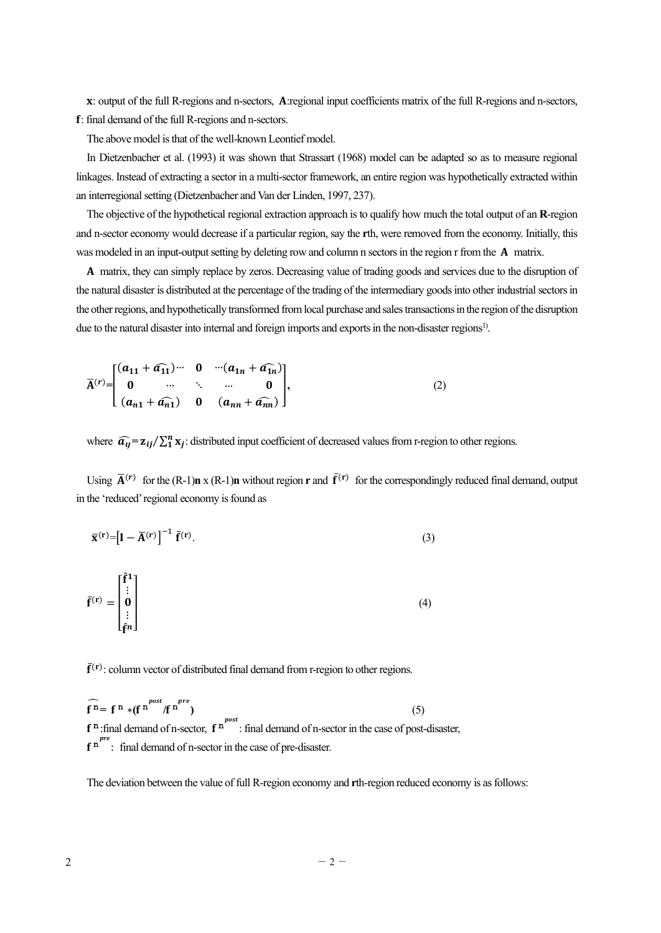X: output of the full R-regions and n-sectors, A:regional input coefficients matrix of the full R-regions and n-sectors, : final demand of the full R-regions and n-sectors.

The above model is that of the well-known Leontief model.

In Dietzenbacher et al. (1993) it was shown that Strassart (1968) model can be adapted so as to measure regional linkages. Instead of extracting a sector in a multi-sector framework, an entire region was hypothetically extracted within an interregional setting (Dietzenbacher and Van der Linden, 1997, 237).

The objective of the hypothetical regional extraction approach is to qualify how much the total output of an **R**-region and n-sector economy would decrease if a particular region, say the **r**th, were removed from the economy. Initially, this was modeled in an input-output setting by deleting row and column n sectors in the region r from the **A** matrix.

ۯ matrix, they can simply replace by zeros. Decreasing value of trading goods and services due to the disruption of the natural disaster is distributed at the percentage of the trading of the intermediary goods into other industrial sectors in the other regions, and hypothetically transformed from local purchase and sales transactions in the region of the disruption due to the natural disaster into internal and foreign imports and exports in the non-disaster regions<sup>1)</sup>.

$$
\overline{A}^{(r)} = \begin{bmatrix} (a_{11} + a_{11}) \cdots & 0 & \cdots (a_{1n} + a_{1n}) \\ 0 & \cdots & \ddots & \cdots & 0 \\ (a_{n1} + a_{n1}) & 0 & (a_{nn} + a_{nn}) \end{bmatrix},
$$
 (2)

where  $\widehat{a_{ij}} = \mathbf{z}_{ij} / \sum_{i=1}^{n} \mathbf{x}_i$ : distributed input coefficient of decreased values from r-region to other regions.

Using  $\overline{A}^{(r)}$  for the (R-1)**n** x (R-1)**n** without region **r** and  $\overline{f}^{(r)}$  for the correspondingly reduced final demand, output in the 'reduced' regional economy is found as

$$
\overline{\mathbf{x}}^{(\mathbf{r})} = \left[\mathbf{I} - \overline{\mathbf{A}}^{(\mathbf{r})}\right]^{-1} \overline{\mathbf{f}}^{(\mathbf{r})}.
$$
\n(3)

$$
\bar{\mathbf{f}}^{(\mathbf{r})} = \begin{bmatrix} \hat{\mathbf{f}}^1 \\ \vdots \\ \hat{\mathbf{0}} \\ \vdots \\ \hat{\mathbf{f}}^n \end{bmatrix} \tag{4}
$$

 $\bar{f}^{(r)}$ : column vector of distributed final demand from r-region to other regions.

$$
\widehat{\mathbf{f}^n} = \mathbf{f}^n * (\mathbf{f}^n)^{post} / \mathbf{f}^n^{pre}
$$
\n(5)  
\n
$$
\mathbf{f}^n:\text{final demand of } n\text{-sector, } \mathbf{f}^n^{post}:\text{final demand of } n\text{-sector in the case of post-disaster,}
$$
\n
$$
\mathbf{f}^n^{pre}:\text{final demand of } n\text{-sector in the case of pre-disaster.}
$$

The deviation between the value of full R-region economy and **r**th-region reduced economy is as follows: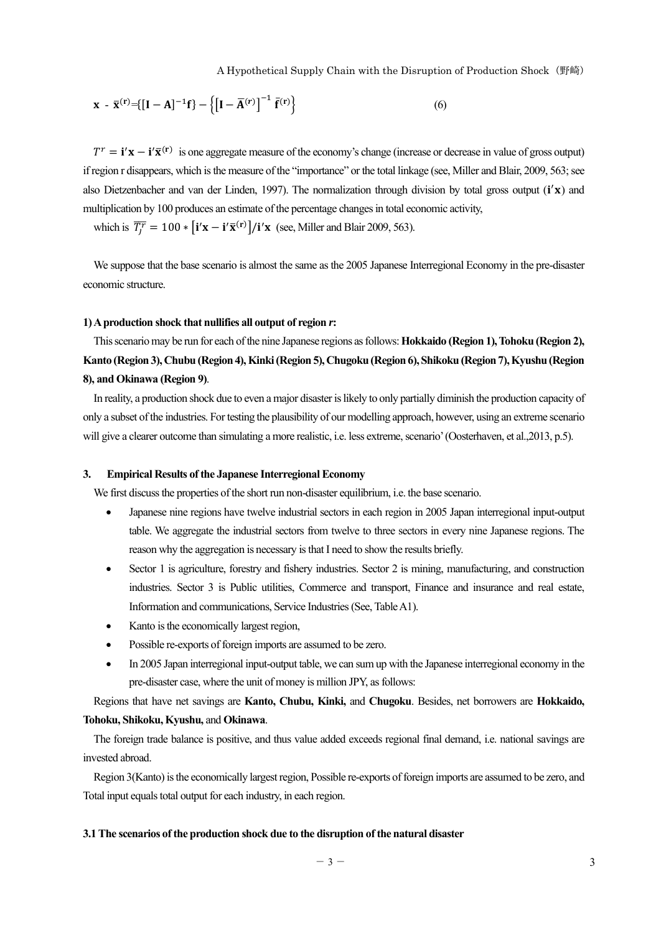$$
\mathbf{x} - \overline{\mathbf{x}}^{(\mathbf{r})} = \{ [\mathbf{I} - \mathbf{A}]^{-1} \mathbf{f} \} - \left\{ [\mathbf{I} - \overline{\mathbf{A}}^{(\mathbf{r})}]^{-1} \overline{\mathbf{f}}^{(\mathbf{r})} \right\} \tag{6}
$$

 $T^r = \mathbf{i}'\mathbf{x} - \mathbf{i}'\overline{\mathbf{x}}^{(r)}$  is one aggregate measure of the economy's change (increase or decrease in value of gross output) if region r disappears, which is the measure of the "importance" or the total linkage (see, Miller and Blair, 2009, 563; see also Dietzenbacher and van der Linden, 1997). The normalization through division by total gross output (i'x) and multiplication by 100 produces an estimate of the percentage changes in total economic activity,

which is  $\overline{T_j^r} = 100 * [i'x - i'\overline{x}^{(r)}]/i'x$  (see, Miller and Blair 2009, 563).

We suppose that the base scenario is almost the same as the 2005 Japanese Interregional Economy in the pre-disaster economic structure.

### **1) A production shock that nullifies all output of region** *r***:**

This scenario may be run for each of the nine Japanese regions as follows: **Hokkaido (Region 1), Tohoku (Region 2), Kanto (Region 3), Chubu (Region 4), Kinki (Region 5), Chugoku (Region 6), Shikoku (Region 7), Kyushu (Region 8), and Okinawa (Region 9)**.

In reality, a production shock due to even a major disaster is likely to only partially diminish the production capacity of only a subset of the industries. For testing the plausibility of our modelling approach, however, using an extreme scenario will give a clearer outcome than simulating a more realistic, i.e. less extreme, scenario' (Oosterhaven, et al.,2013, p.5).

#### **3. Empirical Results of the Japanese Interregional Economy**

We first discuss the properties of the short run non-disaster equilibrium, i.e. the base scenario.

- Japanese nine regions have twelve industrial sectors in each region in 2005 Japan interregional input-output table. We aggregate the industrial sectors from twelve to three sectors in every nine Japanese regions. The reason why the aggregation is necessary is that I need to show the results briefly.
- Sector 1 is agriculture, forestry and fishery industries. Sector 2 is mining, manufacturing, and construction industries. Sector 3 is Public utilities, Commerce and transport, Finance and insurance and real estate, Information and communications, Service Industries (See, Table A1).
- Kanto is the economically largest region,
- Possible re-exports of foreign imports are assumed to be zero.
- In 2005 Japan interregional input-output table, we can sum up with the Japanese interregional economy in the pre-disaster case, where the unit of money is million JPY, as follows:

Regions that have net savings are **Kanto, Chubu, Kinki,** and **Chugoku**. Besides, net borrowers are **Hokkaido, Tohoku, Shikoku, Kyushu,** and **Okinawa**.

The foreign trade balance is positive, and thus value added exceeds regional final demand, i.e. national savings are invested abroad.

Region 3(Kanto) is the economically largest region, Possible re-exports of foreign imports are assumed to be zero, and Total input equals total output for each industry, in each region.

## **3.1 The scenarios of the production shock due to the disruption of the natural disaster**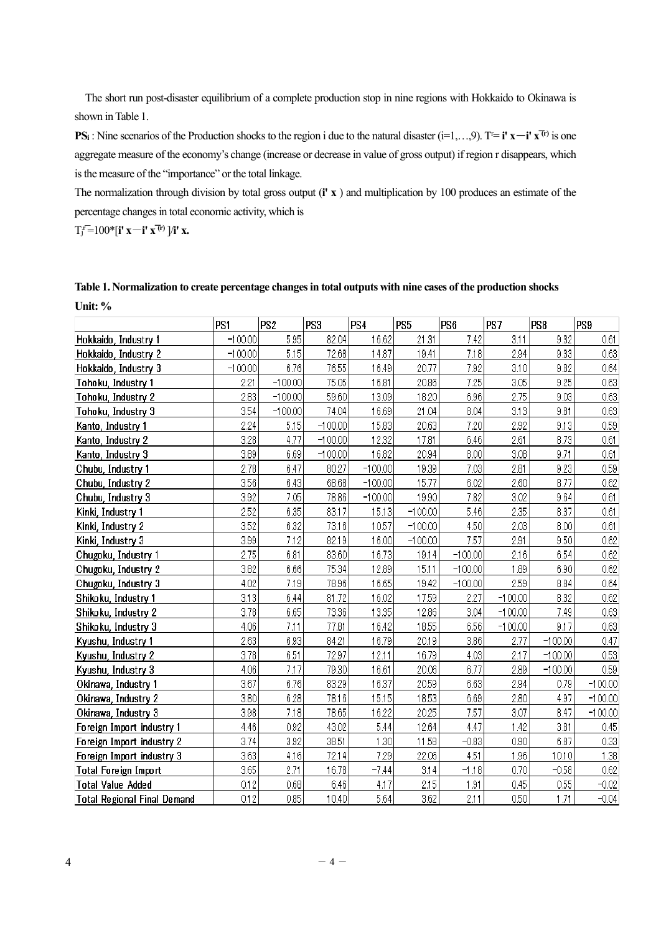The short run post-disaster equilibrium of a complete production stop in nine regions with Hokkaido to Okinawa is shown in Table 1.

**PSi**: Nine scenarios of the Production shocks to the region i due to the natural disaster  $(i=1,...,9)$ . T<sup> $=$ </sup> **i'**  $x$ <sup> $-$ </sup>**i'**  $x$ <sup> $\uparrow$ </sup><sup>*i*</sup> is one aggregate measure of the economy's change (increase or decrease in value of gross output) if region r disappears, which is the measure of the "importance" or the total linkage.

The normalization through division by total gross output (**i' x** ) and multiplication by 100 produces an estimate of the percentage changes in total economic activity, which is

 $T_j^r=100^*$  **[i' x**—**i' x<sup>(tr)</sup> ]/i' x.** 

| Table 1. Normalization to create percentage changes in total outputs with nine cases of the production shocks |  |
|---------------------------------------------------------------------------------------------------------------|--|
| Unit: $%$                                                                                                     |  |

|                                    | PS <sub>1</sub> | PS <sub>2</sub> | PS3       | PS4       | PS5       | PS6       | PS7       | PS8       | PS <sub>9</sub> |
|------------------------------------|-----------------|-----------------|-----------|-----------|-----------|-----------|-----------|-----------|-----------------|
| Hokkaido, Industry 1               | $-100.00$       | 5.95            | 82.04     | 16.62     | 21.31     | 7.42      | 3.11      | 9.32      | 0.61            |
| Hokkaido, Industry 2               | $-100.00$       | 5.15            | 72.68     | 14.87     | 19.41     | 7.18      | 2.94      | 9.33      | 0.63            |
| Hokkaido, Industry 3               | $-100.00$       | 6.76            | 76.55     | 16.49     | 20.77     | 7.92      | 3.10      | 9.82      | 0.64            |
| Tohoku, Industry 1                 | 2.21            | $-100.00$       | 75.05     | 16.81     | 20.86     | 7.25      | 3.05      | 9.25      | 0.63            |
| Tohoku, Industry 2                 | 2.83            | $-100.00$       | 59.60     | 13.09     | 18.20     | 6.96      | 2.75      | 9.03      | 0.63            |
| Tohoku, Industry 3                 | 3.54            | $-100.00$       | 74.04     | 16.69     | 21.04     | 8.04      | 3.13      | 9.81      | 0.63            |
| Kanto, Industry 1                  | 2.24            | 5.15            | $-100.00$ | 15.83     | 20.63     | 7.20      | 2.92      | 9.13      | 0.59            |
| Kanto, Industry 2                  | 3.28            | 4.77            | $-100.00$ | 12.32     | 17.81     | 6.46      | 2.61      | 8.73      | 0.61            |
| Kanto, Industry 3                  | 3.89            | 6.69            | $-100.00$ | 16.82     | 20.94     | 8.00      | 3.08      | 9.71      | 0.61            |
| Chubu, Industry 1                  | 2.78            | 6.47            | 80.27     | $-100.00$ | 19.39     | 7.03      | 2.81      | 9.23      | 0.59            |
| Chubu, Industry 2                  | 3.56            | 6.43            | 68.68     | $-100.00$ | 15.77     | 6.02      | 2.60      | 8.77      | 0.62            |
| Chubu, Industry 3                  | 3.92            | 7.05            | 78.86     | $-100.00$ | 19.90     | 7.82      | 3.02      | 9.64      | 0.61            |
| Kinki, Industry 1                  | 2.52            | 6.35            | 83.17     | 15.13     | $-100.00$ | 5.46      | 2.35      | 8.37      | 0.61            |
| Kinki, Industry 2                  | 3.52            | 6.32            | 73.16     | 10.57     | $-100.00$ | 4.50      | 2.03      | 8.00      | 0.61            |
| Kinki, Industry 3                  | 3.99            | 7.12            | 82.19     | 16.00     | $-100.00$ | 7.57      | 2.91      | 9.50      | 0.62            |
| Chugoku, Industry 1                | 2.75            | 6.81            | 83.60     | 16.73     | 19.14     | $-100.00$ | 2.16      | 6.54      | 0.62            |
| Chugoku, Industry 2                | 3.82            | 6.66            | 75.34     | 12.89     | 15.11     | $-100.00$ | 1.89      | 6.90      | 0.62            |
| Chugoku, Industry 3                | 4.02            | 7.19            | 78.96     | 16.65     | 19.42     | $-100.00$ | 2.59      | 8.84      | 0.64            |
| Shikoku, Industry 1                | 3.13            | 6.44            | 81.72     | 16.02     | 17.59     | 2.27      | $-100.00$ | 8.32      | 0.62            |
| Shikoku, Industry 2                | 3.78            | 6.65            | 73.36     | 13.35     | 12.86     | 3.04      | $-100.00$ | 7.49      | 0.63            |
| Shikoku, Industry 3                | 4.06            | 7.11            | 77.81     | 16.42     | 18.55     | 6.56      | $-100.00$ | 9.17      | 0.63            |
| Kyushu, Industry 1                 | 2.63            | 6.93            | 84.21     | 16.79     | 20.19     | 3.86      | 2.77      | $-100.00$ | 0.47            |
| Kyushu, Industry 2                 | 3.78            | 6.51            | 72.97     | 12.11     | 16.79     | 4.03      | 2.17      | $-100.00$ | 0.53            |
| Kyushu, Industry 3                 | 4.06            | 7.17            | 79.30     | 16.61     | 20.06     | 6.77      | 2.89      | $-100.00$ | 0.59            |
| Okinawa, Industry 1                | 3.67            | 6.76            | 83.29     | 16.37     | 20.59     | 6.63      | 2.94      | 0.79      | $-100.00$       |
| Okinawa, Industry 2                | 3.80            | 6.28            | 78.16     | 15.15     | 18.53     | 6.69      | 2.80      | 4.97      | $-100.00$       |
| Okinawa, Industry 3                | 3.98            | 7.18            | 78.65     | 16.22     | 20.25     | 7.57      | 3.07      | 8.47      | $-100.00$       |
| Foreign Import industry 1          | 4.46            | 0.92            | 43.02     | 5.44      | 12.64     | 4.47      | 1.42      | 3.81      | 0.45            |
| Foreign Import industry 2          | 3.74            | 3.92            | 38.51     | 1.30      | 11.58     | $-0.83$   | 0.90      | 6.87      | 0.33            |
| Foreign Import industry 3          | 3.63            | 4.16            | 72.14     | 7.29      | 22.06     | 4.51      | 1.96      | 10.10     | 1.38            |
| <b>Total Foreign Import</b>        | 3.65            | 2.71            | 16.78     | $-7.44$   | 3.14      | $-1.18$   | 0.70      | $-0.58$   | 0.62            |
| <b>Total Value Added</b>           | 0.12            | 0.68            | 6.46      | 4.17      | 2.15      | 1.91      | 0.45      | 0.55      | $-0.02$         |
| <b>Total Regional Final Demand</b> | 0.12            | 0.85            | 10.40     | 5.64      | 3.62      | 2.11      | 0.50      | 1.71      | $-0.04$         |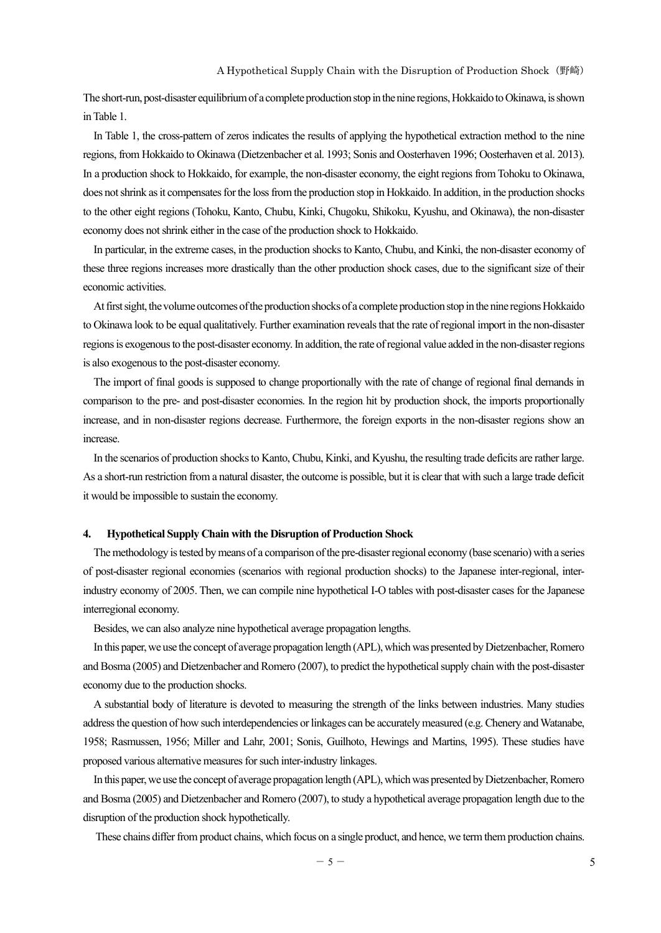The short-run, post-disaster equilibrium of a complete production stop in the nine regions, Hokkaido to Okinawa, is shown in Table 1.

In Table 1, the cross-pattern of zeros indicates the results of applying the hypothetical extraction method to the nine regions, from Hokkaido to Okinawa (Dietzenbacher et al. 1993; Sonis and Oosterhaven 1996; Oosterhaven et al. 2013). In a production shock to Hokkaido, for example, the non-disaster economy, the eight regions from Tohoku to Okinawa, does not shrink as it compensates for the loss from the production stop in Hokkaido. In addition, in the production shocks to the other eight regions (Tohoku, Kanto, Chubu, Kinki, Chugoku, Shikoku, Kyushu, and Okinawa), the non-disaster economy does not shrink either in the case of the production shock to Hokkaido.

In particular, in the extreme cases, in the production shocks to Kanto, Chubu, and Kinki, the non-disaster economy of these three regions increases more drastically than the other production shock cases, due to the significant size of their economic activities.

At first sight, the volume outcomes of the production shocks of a complete production stop in the nine regions Hokkaido to Okinawa look to be equal qualitatively. Further examination reveals that the rate of regional import in the non-disaster regions is exogenous to the post-disaster economy. In addition, the rate of regional value added in the non-disaster regions is also exogenous to the post-disaster economy.

The import of final goods is supposed to change proportionally with the rate of change of regional final demands in comparison to the pre- and post-disaster economies. In the region hit by production shock, the imports proportionally increase, and in non-disaster regions decrease. Furthermore, the foreign exports in the non-disaster regions show an increase.

In the scenarios of production shocks to Kanto, Chubu, Kinki, and Kyushu, the resulting trade deficits are rather large. As a short-run restriction from a natural disaster, the outcome is possible, but it is clear that with such a large trade deficit it would be impossible to sustain the economy.

#### **4. Hypothetical Supply Chain with the Disruption of Production Shock**

The methodology is tested by means of a comparison of the pre-disaster regional economy (base scenario) with a series of post-disaster regional economies (scenarios with regional production shocks) to the Japanese inter-regional, interindustry economy of 2005. Then, we can compile nine hypothetical I-O tables with post-disaster cases for the Japanese interregional economy.

Besides, we can also analyze nine hypothetical average propagation lengths.

In this paper, we use the concept of average propagation length (APL), which was presented by Dietzenbacher, Romero and Bosma (2005) and Dietzenbacher and Romero (2007), to predict the hypothetical supply chain with the post-disaster economy due to the production shocks.

A substantial body of literature is devoted to measuring the strength of the links between industries. Many studies address the question of how such interdependencies or linkages can be accurately measured (e.g. Chenery and Watanabe, 1958; Rasmussen, 1956; Miller and Lahr, 2001; Sonis, Guilhoto, Hewings and Martins, 1995). These studies have proposed various alternative measures for such inter-industry linkages.

In this paper, we use the concept of average propagation length (APL), which was presented by Dietzenbacher, Romero and Bosma (2005) and Dietzenbacher and Romero (2007), to study a hypothetical average propagation length due to the disruption of the production shock hypothetically.

These chains differ from product chains, which focus on a single product, and hence, we term them production chains.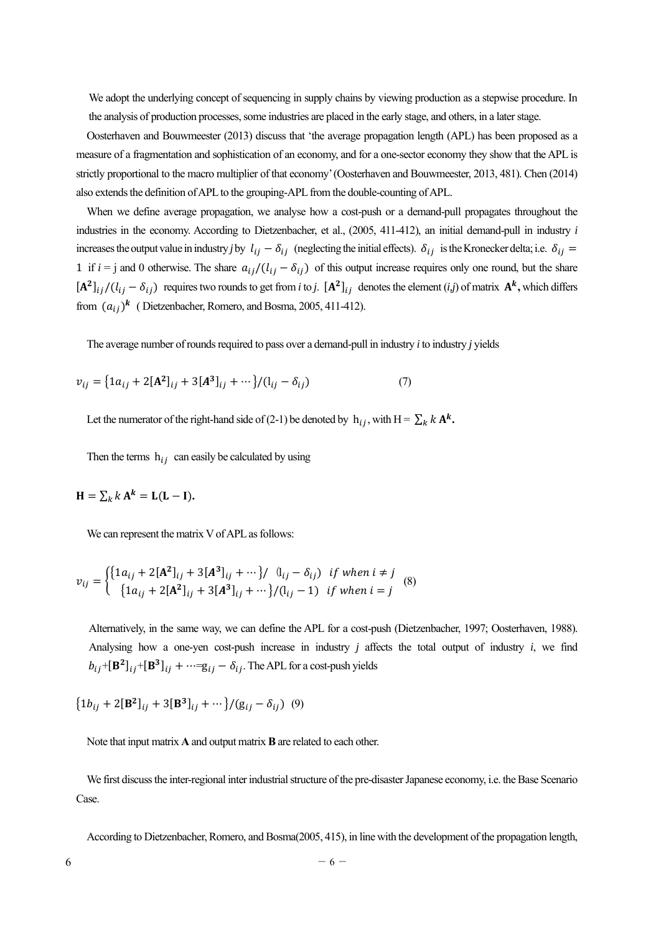We adopt the underlying concept of sequencing in supply chains by viewing production as a stepwise procedure. In the analysis of production processes, some industries are placed in the early stage, and others, in a later stage.

Oosterhaven and Bouwmeester (2013) discuss that 'the average propagation length (APL) has been proposed as a measure of a fragmentation and sophistication of an economy, and for a one-sector economy they show that the APL is strictly proportional to the macro multiplier of that economy' (Oosterhaven and Bouwmeester, 2013, 481). Chen (2014) also extends the definition of APL to the grouping-APL from the double-counting of APL.

When we define average propagation, we analyse how a cost-push or a demand-pull propagates throughout the industries in the economy. According to Dietzenbacher, et al., (2005, 411-412), an initial demand-pull in industry *i* increases the output value in industry *j* by  $l_{ij} - \delta_{ij}$  (neglecting the initial effects).  $\delta_{ij}$  is the Kronecker delta; i.e.  $\delta_{ij}$ 1 if  $i = j$  and 0 otherwise. The share  $a_{ij}/(l_{ij} - \delta_{ij})$  of this output increase requires only one round, but the share  $[A^2]_{ij}/(l_{ij} - \delta_{ij})$  requires two rounds to get from *i* to *j*.  $[A^2]_{ij}$  denotes the element (*i,j*) of matrix  $A^k$ , which differs from  $(a_{ij})^k$  (Dietzenbacher, Romero, and Bosma, 2005, 411-412).

The average number of rounds required to pass over a demand-pull in industry *i* to industry *j* yields

$$
v_{ij} = \left\{1a_{ij} + 2[A^2]_{ij} + 3[A^3]_{ij} + \cdots \right\} / (l_{ij} - \delta_{ij})
$$
 (7)

Let the numerator of the right-hand side of (2-1) be denoted by  $h_{ij}$ , with H =  $\sum_k k \mathbf{A}^k$ .

Then the terms  $h_{ij}$  can easily be calculated by using

$$
\mathbf{H} = \sum_{k} k \mathbf{A}^{k} = \mathbf{L}(\mathbf{L} - \mathbf{I}).
$$

We can represent the matrix V of APL as follows:

$$
v_{ij} = \begin{cases} \{1a_{ij} + 2[\mathbf{A}^2]_{ij} + 3[\mathbf{A}^3]_{ij} + \cdots \} / & (i_{ij} - \delta_{ij}) & \text{if when } i \neq j \\ \{1a_{ij} + 2[\mathbf{A}^2]_{ij} + 3[\mathbf{A}^3]_{ij} + \cdots \} / (i_{ij} - 1) & \text{if when } i = j \end{cases} \tag{8}
$$

Alternatively, in the same way, we can define the APL for a cost-push (Dietzenbacher, 1997; Oosterhaven, 1988). Analysing how a one-yen cost-push increase in industry *j* affects the total output of industry *i*, we find  $b_{ij}$ +[**B**<sup>2</sup>]<sub>ij</sub>+[**B**<sup>3</sup>]<sub>ij</sub> + …=g<sub>ij</sub> –  $\delta_{ij}$ . The APL for a cost-push yields

 ${1b_{ij} + 2[\mathbf{B}^2]_{ij} + 3[\mathbf{B}^3]_{ij} + \cdots}/(g_{ij} - \delta_{ij})$  (9)

Note that input matrix **A** and output matrix **B** are related to each other.

We first discuss the inter-regional inter industrial structure of the pre-disaster Japanese economy, i.e. the Base Scenario Case.

According to Dietzenbacher, Romero, and Bosma(2005, 415), in line with the development of the propagation length,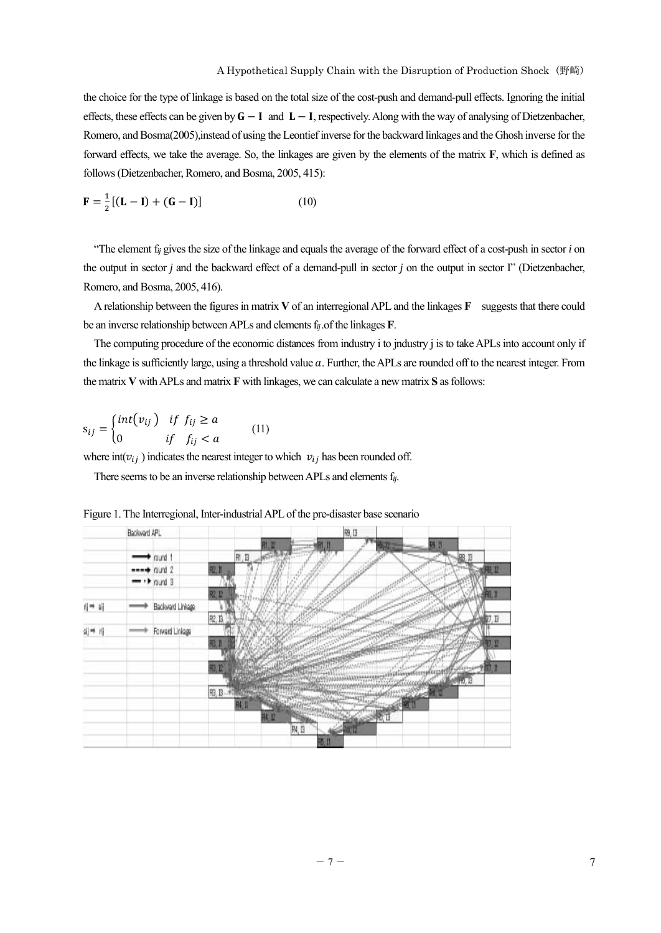the choice for the type of linkage is based on the total size of the cost-push and demand-pull effects. Ignoring the initial effects, these effects can be given by  $G - I$  and  $L - I$ , respectively. Along with the way of analysing of Dietzenbacher, Romero, and Bosma(2005),instead of using the Leontief inverse for the backward linkages and the Ghosh inverse for the forward effects, we take the average. So, the linkages are given by the elements of the matrix **F**, which is defined as follows (Dietzenbacher, Romero, and Bosma, 2005, 415):

$$
\mathbf{F} = \frac{1}{2} [(\mathbf{L} - \mathbf{I}) + (\mathbf{G} - \mathbf{I})] \tag{10}
$$

"The element f*ij* gives the size of the linkage and equals the average of the forward effect of a cost-push in sector *i* on the output in sector *j* and the backward effect of a demand-pull in sector *j* on the output in sector I" (Dietzenbacher, Romero, and Bosma, 2005, 416).

A relationship between the figures in matrix **V** of an interregional APL and the linkages **F** suggests that there could be an inverse relationship between APLs and elements f*ij* .of the linkages **F**.

The computing procedure of the economic distances from industry i to jndustry j is to take APLs into account only if the linkage is sufficiently large, using a threshold value  $a$ . Further, the APLs are rounded off to the nearest integer. From the matrix **V** with APLs and matrix **F** with linkages, we can calculate a new matrix **S** as follows:

$$
s_{ij} = \begin{cases} int(v_{ij}) & \text{if } f_{ij} \ge a \\ 0 & \text{if } f_{ij} < a \end{cases} \tag{11}
$$

where  $int(v_{ij})$  indicates the nearest integer to which  $v_{ij}$  has been rounded off.

There seems to be an inverse relationship between APLs and elements f*ij*.



Figure 1. The Interregional, Inter-industrial APL of the pre-disaster base scenario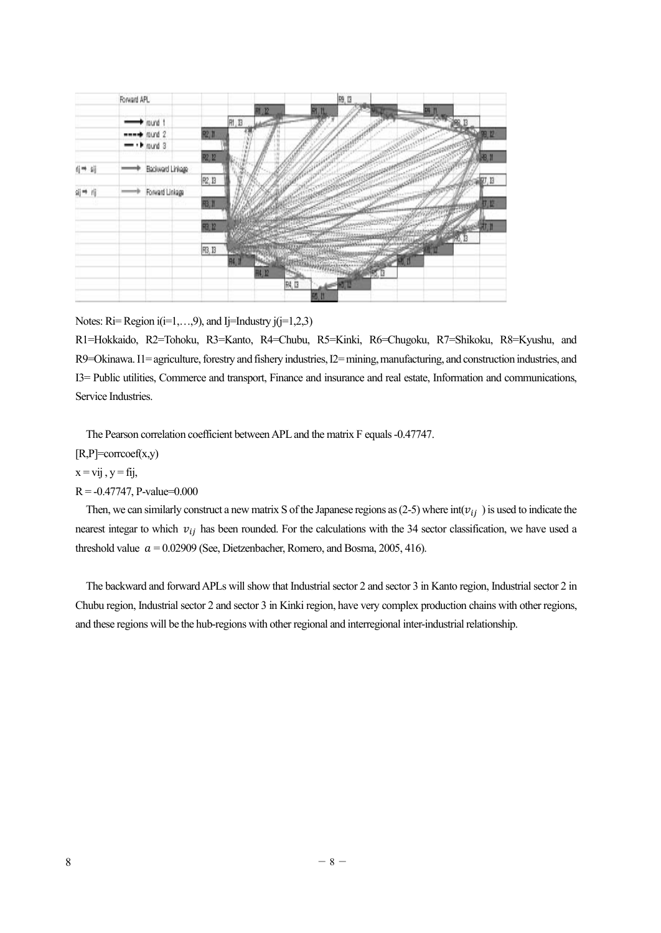

Notes: Ri= Region i(i=1,...,9), and Ij=Industry j(j=1,2,3)

R1=Hokkaido, R2=Tohoku, R3=Kanto, R4=Chubu, R5=Kinki, R6=Chugoku, R7=Shikoku, R8=Kyushu, and R9=Okinawa. I1= agriculture, forestry and fishery industries, I2= mining, manufacturing, and construction industries, and I3= Public utilities, Commerce and transport, Finance and insurance and real estate, Information and communications, Service Industries.

The Pearson correlation coefficient between APL and the matrix F equals -0.47747.

 $[R,P]=corrocef(x,y)$ 

 $x = vij$ ,  $y = fij$ ,

 $R = -0.47747$ , P-value=0.000

Then, we can similarly construct a new matrix S of the Japanese regions as (2-5) where  $int(v_{ij})$  is used to indicate the nearest integar to which  $v_{ij}$  has been rounded. For the calculations with the 34 sector classification, we have used a threshold value  $a = 0.02909$  (See, Dietzenbacher, Romero, and Bosma, 2005, 416).

The backward and forward APLs will show that Industrial sector 2 and sector 3 in Kanto region, Industrial sector 2 in Chubu region, Industrial sector 2 and sector 3 in Kinki region, have very complex production chains with other regions, and these regions will be the hub-regions with other regional and interregional inter-industrial relationship.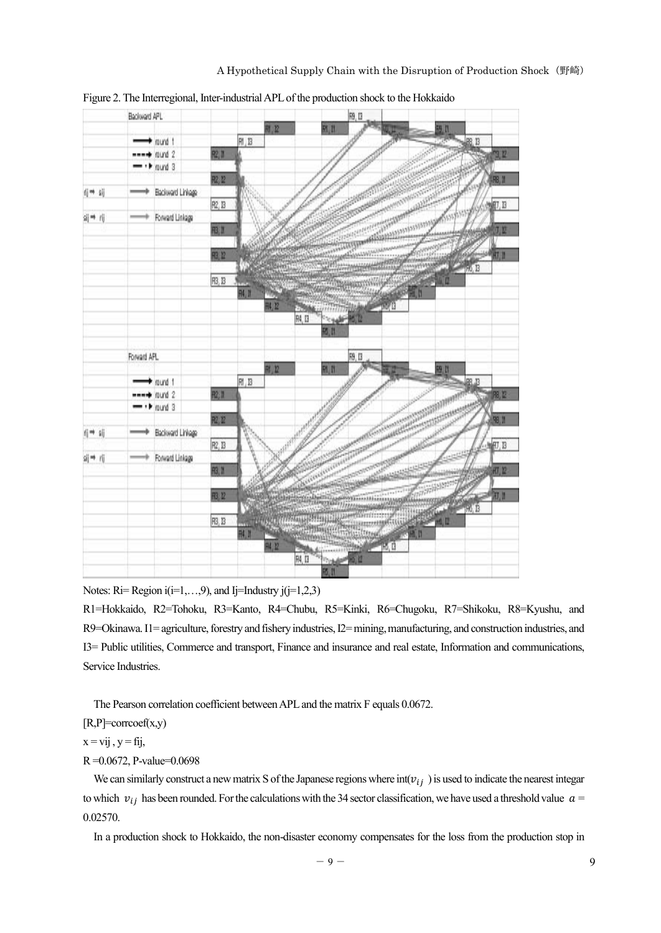

Figure 2. The Interregional, Inter-industrial APL of the production shock to the Hokkaido

Notes:  $\text{Ri} = \text{Region } i(i=1,...,9)$ , and Ij=Industry j(j=1,2,3)

R1=Hokkaido, R2=Tohoku, R3=Kanto, R4=Chubu, R5=Kinki, R6=Chugoku, R7=Shikoku, R8=Kyushu, and R9=Okinawa. I1= agriculture, forestry and fishery industries, I2= mining, manufacturing, and construction industries, and I3= Public utilities, Commerce and transport, Finance and insurance and real estate, Information and communications, Service Industries.

The Pearson correlation coefficient between APL and the matrix F equals 0.0672.

[R,P]=corrcoef(x,y)

 $x = vij$ ,  $y = fij$ ,

## R =0.0672, P-value=0.0698

We can similarly construct a new matrix S of the Japanese regions where  $int(v_{ij})$  is used to indicate the nearest integar to which  $v_{ij}$  has been rounded. For the calculations with the 34 sector classification, we have used a threshold value  $a=$ 0.02570.

In a production shock to Hokkaido, the non-disaster economy compensates for the loss from the production stop in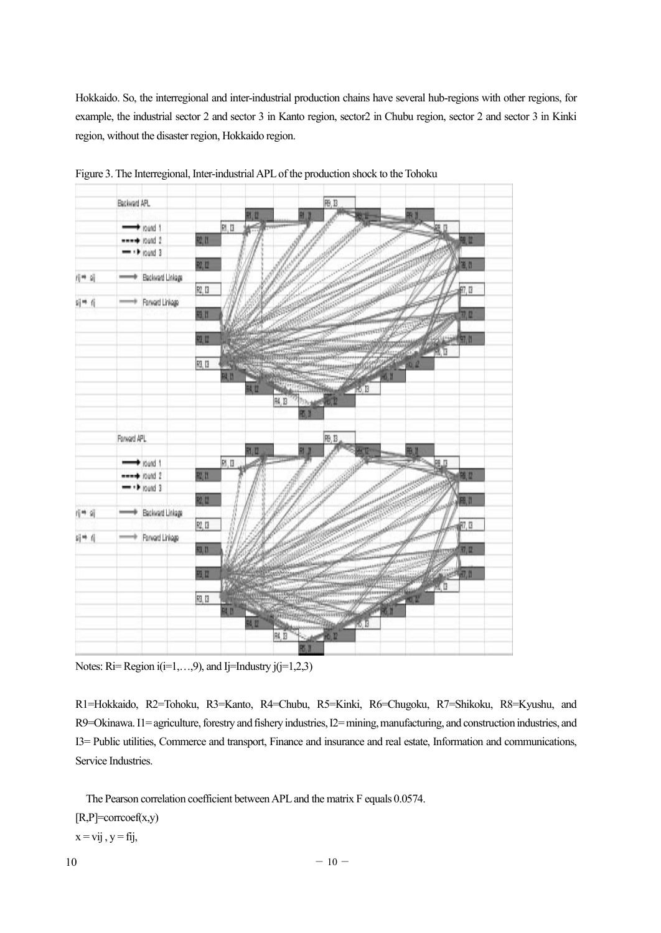Hokkaido. So, the interregional and inter-industrial production chains have several hub-regions with other regions, for example, the industrial sector 2 and sector 3 in Kanto region, sector2 in Chubu region, sector 2 and sector 3 in Kinki region, without the disaster region, Hokkaido region.



Figure 3. The Interregional, Inter-industrial APL of the production shock to the Tohoku

Notes: Ri= Region  $i(i=1,...,9)$ , and Ij=Industry  $j(i=1,2,3)$ 

R1=Hokkaido, R2=Tohoku, R3=Kanto, R4=Chubu, R5=Kinki, R6=Chugoku, R7=Shikoku, R8=Kyushu, and R9=Okinawa. I1= agriculture, forestry and fishery industries, I2= mining, manufacturing, and construction industries, and I3= Public utilities, Commerce and transport, Finance and insurance and real estate, Information and communications, Service Industries.

The Pearson correlation coefficient between APL and the matrix F equals 0.0574.

[R,P]=corrcoef(x,y)

 $x = vij$ ,  $y = fij$ ,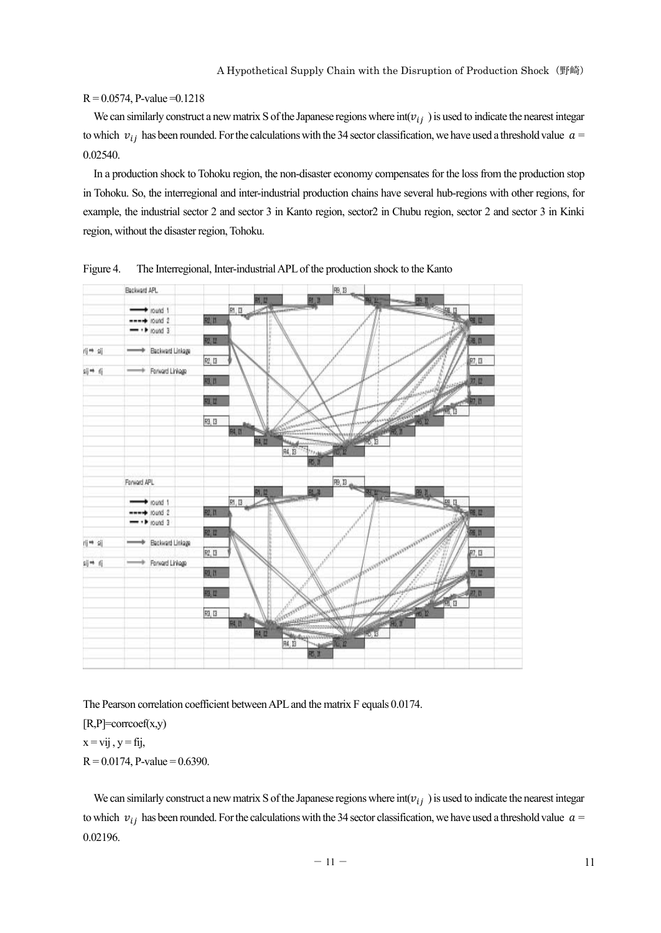## $R = 0.0574$ , P-value  $= 0.1218$

We can similarly construct a new matrix S of the Japanese regions where  $int(v_{ij})$  is used to indicate the nearest integar to which  $v_{ij}$  has been rounded. For the calculations with the 34 sector classification, we have used a threshold value  $a=$ 0.02540.

In a production shock to Tohoku region, the non-disaster economy compensates for the loss from the production stop in Tohoku. So, the interregional and inter-industrial production chains have several hub-regions with other regions, for example, the industrial sector 2 and sector 3 in Kanto region, sector2 in Chubu region, sector 2 and sector 3 in Kinki region, without the disaster region, Tohoku.



Figure 4. The Interregional, Inter-industrial APL of the production shock to the Kanto

The Pearson correlation coefficient between APL and the matrix F equals 0.0174.

 $[R,P]=corrocef(x,y)$ 

 $x = vii$ ,  $y = fii$ ,

 $R = 0.0174$ , P-value = 0.6390.

We can similarly construct a new matrix S of the Japanese regions where  $int(v_{ij})$  is used to indicate the nearest integar to which  $v_{ij}$  has been rounded. For the calculations with the 34 sector classification, we have used a threshold value  $a =$ 0.02196.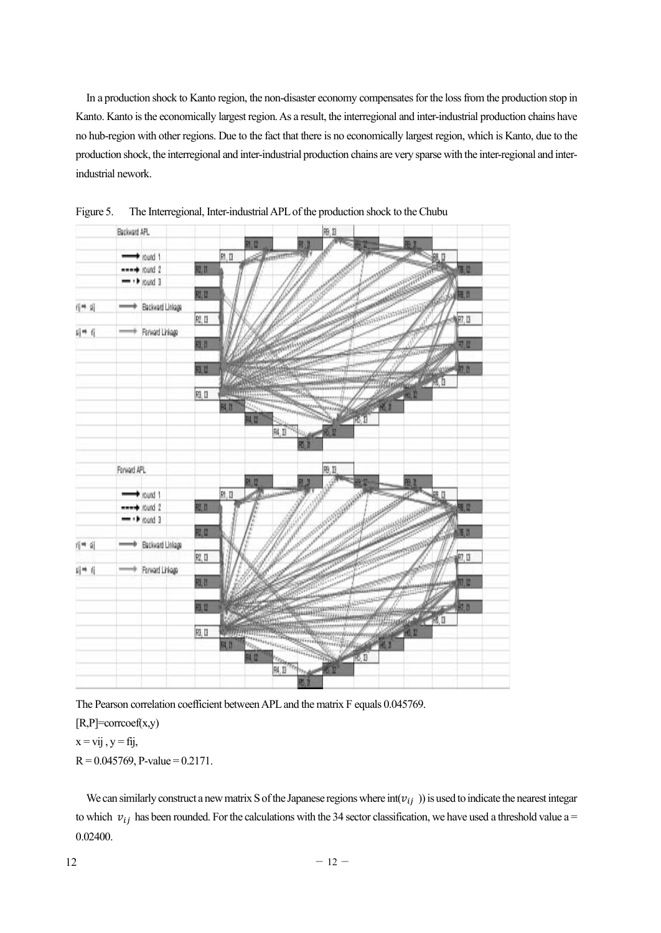In a production shock to Kanto region, the non-disaster economy compensates for the loss from the production stop in Kanto. Kanto is the economically largest region. As a result, the interregional and inter-industrial production chains have no hub-region with other regions. Due to the fact that there is no economically largest region, which is Kanto, due to the production shock, the interregional and inter-industrial production chains are very sparse with the inter-regional and interindustrial nework.



Figure 5. The Interregional, Inter-industrial APL of the production shock to the Chubu

The Pearson correlation coefficient between APL and the matrix F equals 0.045769.

[R,P]=corrcoef(x,y)

 $x = vij$ ,  $y = fij$ ,

 $R = 0.045769$ , P-value = 0.2171.

We can similarly construct a new matrix S of the Japanese regions where  $int(v_{ij})$  is used to indicate the nearest integar to which  $v_{ij}$  has been rounded. For the calculations with the 34 sector classification, we have used a threshold value a = 0.02400.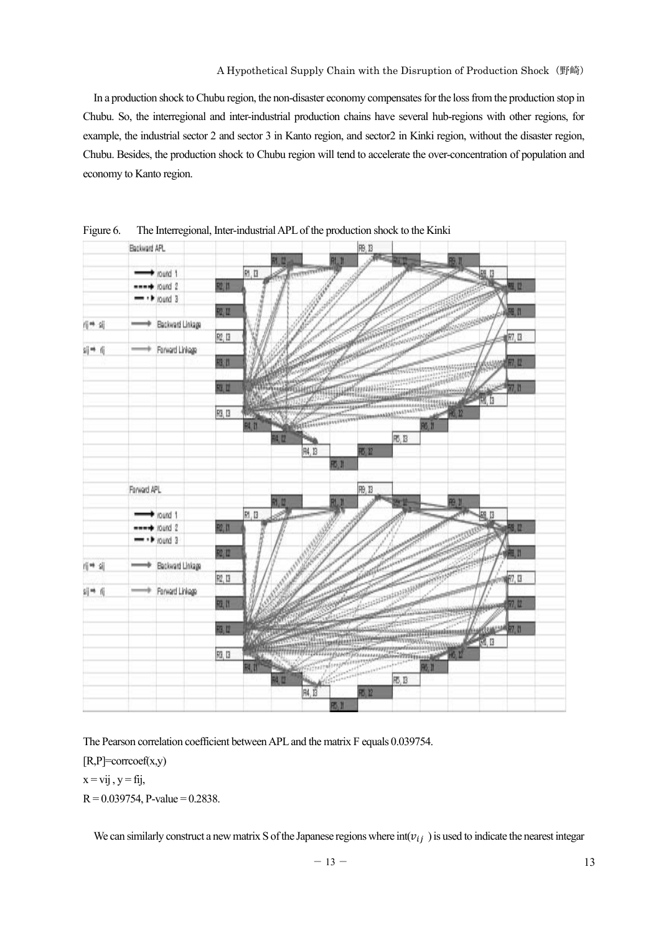In a production shock to Chubu region, the non-disaster economy compensates for the loss from the production stop in Chubu. So, the interregional and inter-industrial production chains have several hub-regions with other regions, for example, the industrial sector 2 and sector 3 in Kanto region, and sector2 in Kinki region, without the disaster region, Chubu. Besides, the production shock to Chubu region will tend to accelerate the over-concentration of population and economy to Kanto region.



Figure 6. The Interregional, Inter-industrial APL of the production shock to the Kinki

The Pearson correlation coefficient between APL and the matrix F equals 0.039754.

 $[R,P]=corrocscf(x,y)$ 

 $x = vij$ ,  $y = fij$ ,

 $R = 0.039754$ , P-value = 0.2838.

We can similarly construct a new matrix S of the Japanese regions where  $int(v_{ij})$  is used to indicate the nearest integar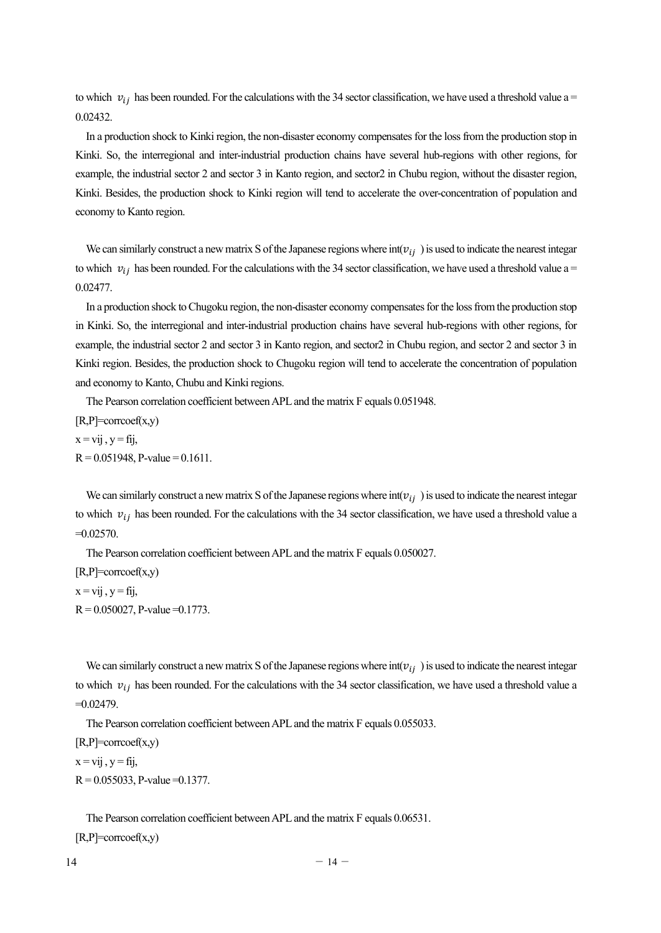to which  $v_{ij}$  has been rounded. For the calculations with the 34 sector classification, we have used a threshold value a = 0.02432.

In a production shock to Kinki region, the non-disaster economy compensates for the loss from the production stop in Kinki. So, the interregional and inter-industrial production chains have several hub-regions with other regions, for example, the industrial sector 2 and sector 3 in Kanto region, and sector2 in Chubu region, without the disaster region, Kinki. Besides, the production shock to Kinki region will tend to accelerate the over-concentration of population and economy to Kanto region.

We can similarly construct a new matrix S of the Japanese regions where  $int(v_{ij})$  is used to indicate the nearest integar to which  $v_{ij}$  has been rounded. For the calculations with the 34 sector classification, we have used a threshold value a = 0.02477.

In a production shock to Chugoku region, the non-disaster economy compensates for the loss from the production stop in Kinki. So, the interregional and inter-industrial production chains have several hub-regions with other regions, for example, the industrial sector 2 and sector 3 in Kanto region, and sector2 in Chubu region, and sector 2 and sector 3 in Kinki region. Besides, the production shock to Chugoku region will tend to accelerate the concentration of population and economy to Kanto, Chubu and Kinki regions.

The Pearson correlation coefficient between APL and the matrix F equals 0.051948.

 $[R,P]=corrocef(x,y)$  $x = vij$ ,  $y = fij$ ,  $R = 0.051948$ , P-value = 0.1611.

We can similarly construct a new matrix S of the Japanese regions where  $int(v_{i,j})$  is used to indicate the nearest integar to which  $v_{ij}$  has been rounded. For the calculations with the 34 sector classification, we have used a threshold value a  $=0.02570$ .

The Pearson correlation coefficient between APL and the matrix F equals 0.050027.

 $[R,P]=corrocef(x,y)$  $x = vij$ ,  $y = fij$ ,  $R = 0.050027$ , P-value  $= 0.1773$ .

We can similarly construct a new matrix S of the Japanese regions where  $int(v_{ij})$  is used to indicate the nearest integar to which  $v_{ij}$  has been rounded. For the calculations with the 34 sector classification, we have used a threshold value a  $=0.02479$ .

The Pearson correlation coefficient between APL and the matrix F equals 0.055033.

 $[R,P]=corrocef(x,y)$ 

 $x = vii$ ,  $y = fii$ ,

 $R = 0.055033$ , P-value = 0.1377.

The Pearson correlation coefficient between APL and the matrix F equals 0.06531.

[R,P]=corrcoef(x,y)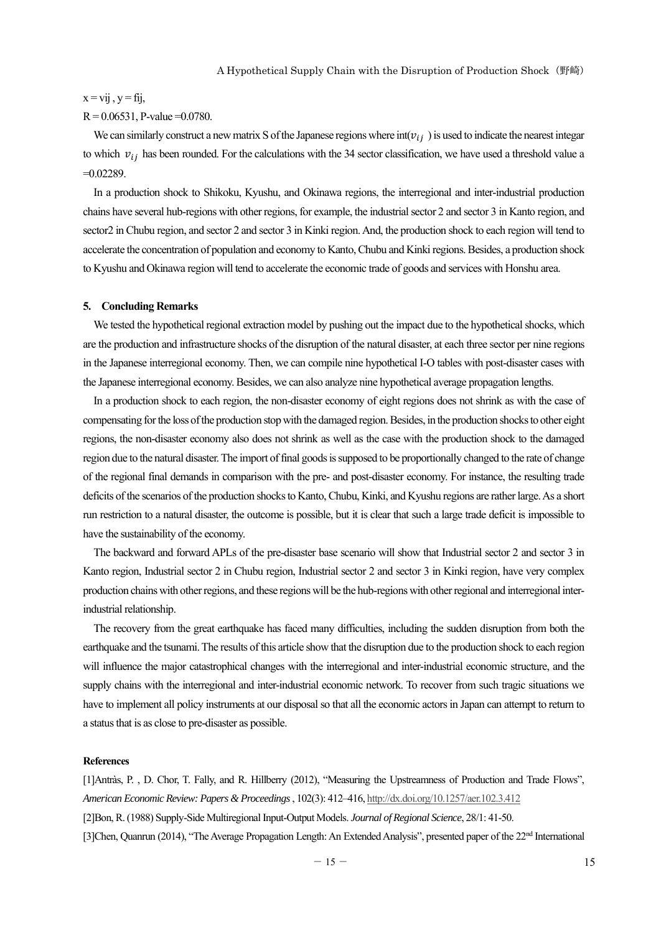#### $x = vii$ ,  $y = fii$ ,

## $R = 0.06531$ , P-value = 0.0780.

We can similarly construct a new matrix S of the Japanese regions where  $int(v_i)$  is used to indicate the nearest integar to which  $v_{ij}$  has been rounded. For the calculations with the 34 sector classification, we have used a threshold value a  $=0.02289$ .

In a production shock to Shikoku, Kyushu, and Okinawa regions, the interregional and inter-industrial production chains have several hub-regions with other regions, for example, the industrial sector 2 and sector 3 in Kanto region, and sector2 in Chubu region, and sector 2 and sector 3 in Kinki region. And, the production shock to each region will tend to accelerate the concentration of population and economy to Kanto, Chubu and Kinki regions. Besides, a production shock to Kyushu and Okinawa region will tend to accelerate the economic trade of goods and services with Honshu area.

#### **5. Concluding Remarks**

We tested the hypothetical regional extraction model by pushing out the impact due to the hypothetical shocks, which are the production and infrastructure shocks of the disruption of the natural disaster, at each three sector per nine regions in the Japanese interregional economy. Then, we can compile nine hypothetical I-O tables with post-disaster cases with the Japanese interregional economy. Besides, we can also analyze nine hypothetical average propagation lengths.

In a production shock to each region, the non-disaster economy of eight regions does not shrink as with the case of compensating for the loss of the production stop with the damaged region. Besides, in the production shocks to other eight regions, the non-disaster economy also does not shrink as well as the case with the production shock to the damaged region due to the natural disaster. The import of final goods is supposed to be proportionally changed to the rate of change of the regional final demands in comparison with the pre- and post-disaster economy. For instance, the resulting trade deficits of the scenarios of the production shocks to Kanto, Chubu, Kinki, and Kyushu regions are rather large. As a short run restriction to a natural disaster, the outcome is possible, but it is clear that such a large trade deficit is impossible to have the sustainability of the economy.

The backward and forward APLs of the pre-disaster base scenario will show that Industrial sector 2 and sector 3 in Kanto region, Industrial sector 2 in Chubu region, Industrial sector 2 and sector 3 in Kinki region, have very complex production chains with other regions, and these regions will be the hub-regions with other regional and interregional interindustrial relationship.

The recovery from the great earthquake has faced many difficulties, including the sudden disruption from both the earthquake and the tsunami. The results of this article show that the disruption due to the production shock to each region will influence the major catastrophical changes with the interregional and inter-industrial economic structure, and the supply chains with the interregional and inter-industrial economic network. To recover from such tragic situations we have to implement all policy instruments at our disposal so that all the economic actors in Japan can attempt to return to a status that is as close to pre-disaster as possible.

## **References**

[1]Antràs, P. , D. Chor, T. Fally, and R. Hillberry (2012), "Measuring the Upstreamness of Production and Trade Flows", *American Economic Review: Papers & Proceedings* , 102(3): 412–416, http://dx.doi.org/10.1257/aer.102.3.412 [2]Bon, R. (1988) Supply-Side Multiregional Input-Output Models. *Journal of Regional Science*, 28/1: 41-50. [3]Chen, Quanrun (2014), "The Average Propagation Length: An Extended Analysis", presented paper of the 22<sup>nd</sup> International

 $-15 - 15$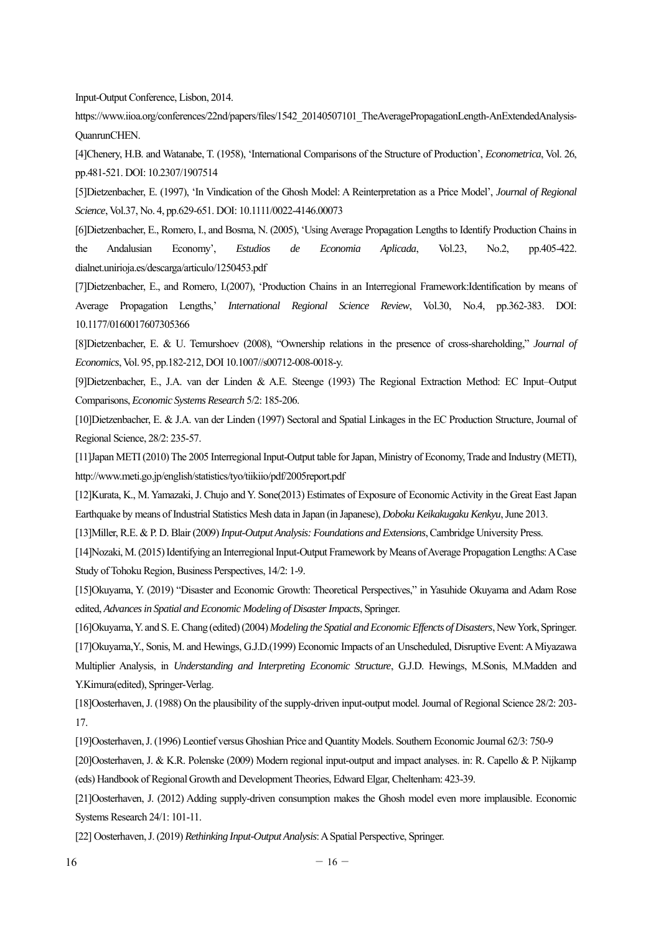Input-Output Conference, Lisbon, 2014.

https://www.iioa.org/conferences/22nd/papers/files/1542\_20140507101\_TheAveragePropagationLength-AnExtendedAnalysis-QuanrunCHEN.

[4]Chenery, H.B. and Watanabe, T. (1958), 'International Comparisons of the Structure of Production', *Econometrica*, Vol. 26, pp.481-521. DOI: 10.2307/1907514

[5]Dietzenbacher, E. (1997), 'In Vindication of the Ghosh Model: A Reinterpretation as a Price Model', *Journal of Regional Science*, Vol.37, No. 4, pp.629-651. DOI: 10.1111/0022-4146.00073

[6]Dietzenbacher, E., Romero, I., and Bosma, N. (2005), 'Using Average Propagation Lengths to Identify Production Chains in the Andalusian Economy', *Estudios de Economia Aplicada*, Vol.23, No.2, pp.405-422. dialnet.unirioja.es/descarga/articulo/1250453.pdf

[7]Dietzenbacher, E., and Romero, I.(2007), 'Production Chains in an Interregional Framework:Identification by means of Average Propagation Lengths,' *International Regional Science Review*, Vol.30, No.4, pp.362-383. DOI: 10.1177/0160017607305366

[8]Dietzenbacher, E. & U. Temurshoev (2008), "Ownership relations in the presence of cross-shareholding," *Journal of Economics*, Vol. 95, pp.182-212, DOI 10.1007//s00712-008-0018-y.

[9]Dietzenbacher, E., J.A. van der Linden & A.E. Steenge (1993) The Regional Extraction Method: EC Input–Output Comparisons, *Economic Systems Research* 5/2: 185-206.

[10]Dietzenbacher, E. & J.A. van der Linden (1997) Sectoral and Spatial Linkages in the EC Production Structure, Journal of Regional Science, 28/2: 235-57.

[11]Japan METI (2010) The 2005 Interregional Input-Output table for Japan, Ministry of Economy, Trade and Industry (METI), http://www.meti.go.jp/english/statistics/tyo/tiikiio/pdf/2005report.pdf

[12]Kurata, K., M. Yamazaki, J. Chujo and Y. Sone(2013) Estimates of Exposure of Economic Activity in the Great East Japan Earthquake by means of Industrial Statistics Mesh data in Japan (in Japanese), *Doboku Keikakugaku Kenkyu*, June 2013.

[13]Miller, R.E. & P. D. Blair (2009) *Input-Output Analysis: Foundations and Extensions*, Cambridge University Press.

[14]Nozaki, M. (2015) Identifying an Interregional Input-Output Framework by Means of Average Propagation Lengths: A Case Study of Tohoku Region, Business Perspectives, 14/2: 1-9.

[15]Okuyama, Y. (2019) "Disaster and Economic Growth: Theoretical Perspectives," in Yasuhide Okuyama and Adam Rose edited, *Advances in Spatial and Economic Modeling of Disaster Impacts*, Springer.

[16]Okuyama, Y. and S. E. Chang (edited) (2004) *Modeling the Spatial and Economic Effencts of Disasters*, New York, Springer. [17]Okuyama,Y., Sonis, M. and Hewings, G.J.D.(1999) Economic Impacts of an Unscheduled, Disruptive Event: A Miyazawa Multiplier Analysis, in *Understanding and Interpreting Economic Structure*, G.J.D. Hewings, M.Sonis, M.Madden and Y.Kimura(edited), Springer-Verlag.

[18]Oosterhaven, J. (1988) On the plausibility of the supply-driven input-output model. Journal of Regional Science 28/2: 203- 17.

[19]Oosterhaven, J. (1996) Leontief versus Ghoshian Price and Quantity Models. Southern Economic Journal 62/3: 750-9

[20]Oosterhaven, J. & K.R. Polenske (2009) Modern regional input-output and impact analyses. in: R. Capello & P. Nijkamp (eds) Handbook of Regional Growth and Development Theories, Edward Elgar, Cheltenham: 423-39.

[21]Oosterhaven, J. (2012) Adding supply-driven consumption makes the Ghosh model even more implausible. Economic Systems Research 24/1: 101-11.

[22] Oosterhaven, J. (2019) *Rethinking Input-Output Analysis*: A Spatial Perspective, Springer.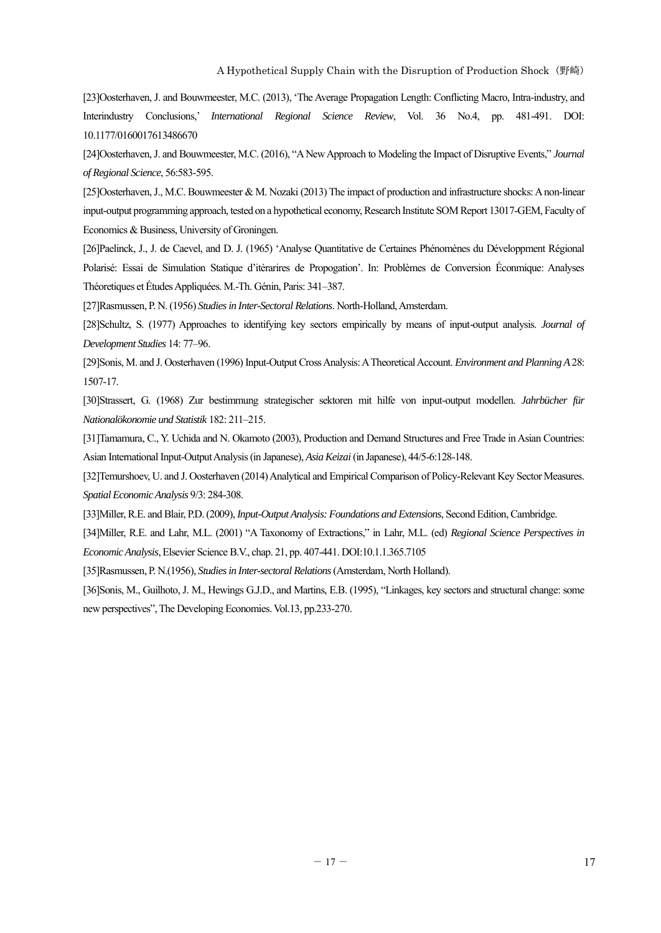[23]Oosterhaven, J. and Bouwmeester, M.C. (2013), 'The Average Propagation Length: Conflicting Macro, Intra-industry, and Interindustry Conclusions,' *International Regional Science Review*, Vol. 36 No.4, pp. 481-491. DOI: 10.1177/0160017613486670

[24]Oosterhaven, J. and Bouwmeester, M.C. (2016), "A New Approach to Modeling the Impact of Disruptive Events," *Journal of Regional Science*, 56:583-595.

[25]Oosterhaven, J., M.C. Bouwmeester & M. Nozaki (2013) The impact of production and infrastructure shocks: A non-linear input-output programming approach, tested on a hypothetical economy, Research Institute SOM Report 13017-GEM, Faculty of Economics & Business, University of Groningen.

[26]Paelinck, J., J. de Caevel, and D. J. (1965) 'Analyse Quantitative de Certaines Phénomènes du Développment Régional Polarisé: Essai de Simulation Statique d'itérarires de Propogation'. In: Problèmes de Conversion Éconmique: Analyses Théoretiques et Études Appliquées. M.-Th. Génin, Paris: 341–387.

[27]Rasmussen, P. N. (1956) *Studies in Inter-Sectoral Relations*. North-Holland, Amsterdam.

[28]Schultz, S. (1977) Approaches to identifying key sectors empirically by means of input-output analysis. *Journal of Development Studies* 14: 77–96.

[29]Sonis, M. and J. Oosterhaven (1996) Input-Output Cross Analysis: A Theoretical Account. *Environment and Planning A* 28: 1507-17.

[30]Strassert, G. (1968) Zur bestimmung strategischer sektoren mit hilfe von input-output modellen. *Jahrbücher für Nationalökonomie und Statistik* 182: 211–215.

[31]Tamamura, C., Y. Uchida and N. Okamoto (2003), Production and Demand Structures and Free Trade in Asian Countries: Asian International Input-Output Analysis (in Japanese), *Asia Keizai* (in Japanese), 44/5-6:128-148.

[32]Temurshoev, U. and J. Oosterhaven (2014) Analytical and Empirical Comparison of Policy-Relevant Key Sector Measures. *Spatial Economic Analysis* 9/3: 284-308.

[33]Miller, R.E. and Blair, P.D. (2009), *Input-Output Analysis: Foundations and Extensions*, Second Edition, Cambridge.

[34]Miller, R.E. and Lahr, M.L. (2001) "A Taxonomy of Extractions," in Lahr, M.L. (ed) *Regional Science Perspectives in Economic Analysis*, Elsevier Science B.V., chap. 21, pp. 407-441. DOI:10.1.1.365.7105

[35]Rasmussen, P. N.(1956), *Studies in Inter-sectoral Relations* (Amsterdam, North Holland).

[36]Sonis, M., Guilhoto, J. M., Hewings G.J.D., and Martins, E.B. (1995), "Linkages, key sectors and structural change: some new perspectives", The Developing Economies. Vol.13, pp.233-270.